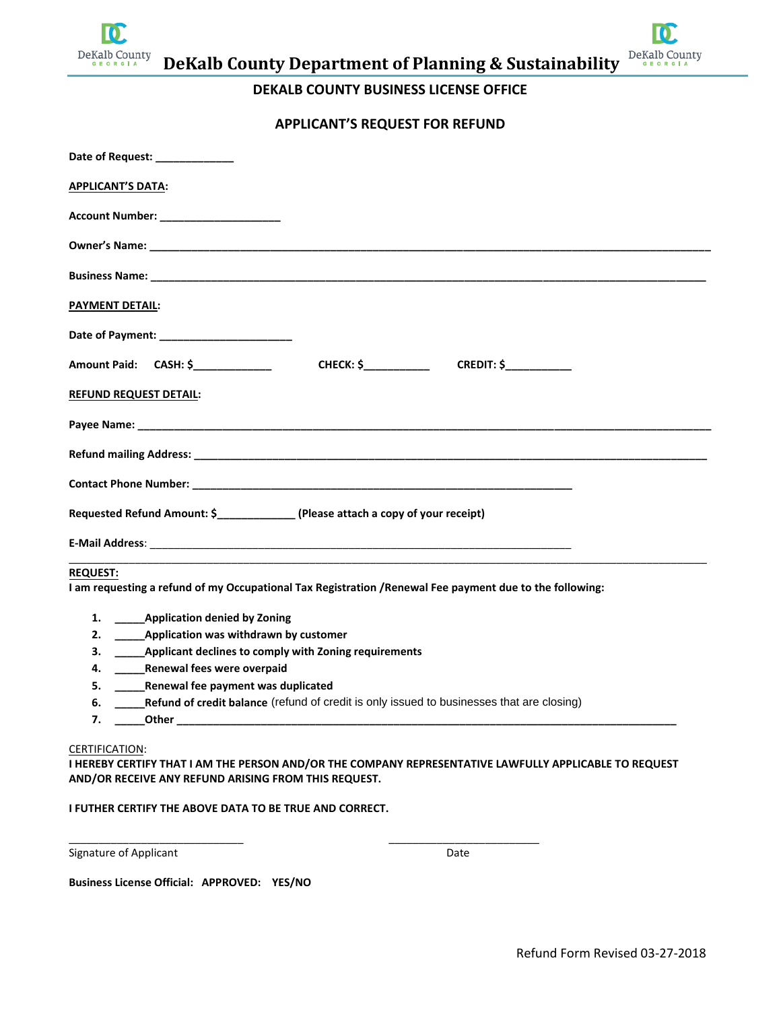

**DeKalb County Department of Planning & Sustainability**

## **DEKALB COUNTY BUSINESS LICENSE OFFICE**

## **APPLICANT'S REQUEST FOR REFUND**

| Date of Request: ____________                                                                            |
|----------------------------------------------------------------------------------------------------------|
| <b>APPLICANT'S DATA:</b>                                                                                 |
| Account Number: ________________________                                                                 |
|                                                                                                          |
|                                                                                                          |
| <b>PAYMENT DETAIL:</b>                                                                                   |
|                                                                                                          |
| <b>CHECK: \$</b> CREDIT: \$<br>Amount Paid: CASH: \$_____________                                        |
| <b>REFUND REQUEST DETAIL:</b>                                                                            |
|                                                                                                          |
|                                                                                                          |
|                                                                                                          |
| Requested Refund Amount: \$_________________ (Please attach a copy of your receipt)                      |
|                                                                                                          |
| <b>REQUEST:</b>                                                                                          |
| I am requesting a refund of my Occupational Tax Registration / Renewal Fee payment due to the following: |
| 1. Application denied by Zoning                                                                          |
| 2. _______ Application was withdrawn by customer                                                         |
| ______ Applicant declines to comply with Zoning requirements<br>3.                                       |
| Renewal fees were overpaid<br>4.                                                                         |
| Renewal fee payment was duplicated<br>5.                                                                 |
|                                                                                                          |

**6.** *\_\_\_\_\_Refund of credit balance* (refund of credit is only issued to businesses that are closing)

\_\_\_\_\_\_\_\_\_\_\_\_\_\_\_\_\_\_\_\_\_\_\_\_\_\_\_\_\_ \_\_\_\_\_\_\_\_\_\_\_\_\_\_\_\_\_\_\_\_\_\_\_\_\_

**7. \_\_\_\_\_Other \_\_\_\_\_\_\_\_\_\_\_\_\_\_\_\_\_\_\_\_\_\_\_\_\_\_\_\_\_\_\_\_\_\_\_\_\_\_\_\_\_\_\_\_\_\_\_\_\_\_\_\_\_\_\_\_\_\_\_\_\_\_\_\_\_\_\_\_\_\_\_\_\_\_\_\_\_\_\_\_\_\_\_**

#### CERTIFICATION:

**I HEREBY CERTIFY THAT I AM THE PERSON AND/OR THE COMPANY REPRESENTATIVE LAWFULLY APPLICABLE TO REQUEST AND/OR RECEIVE ANY REFUND ARISING FROM THIS REQUEST.** 

## **I FUTHER CERTIFY THE ABOVE DATA TO BE TRUE AND CORRECT.**

Signature of Applicant Date Date Date Date

**Business License Official: APPROVED: YES/NO**